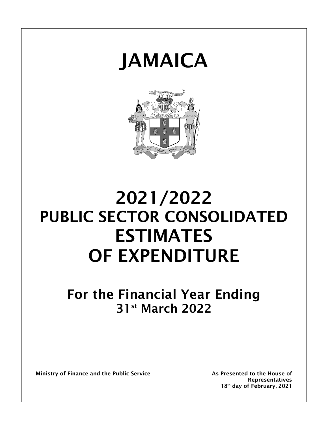



# **2021/2022 PUBLIC SECTOR CONSOLIDATED ESTIMATES OF EXPENDITURE**

## **For the Financial Year Ending 31st March 2022**

**Ministry of Finance and the Public Service As Presented to the House of** 

**Representatives 18 th day of February, 2021**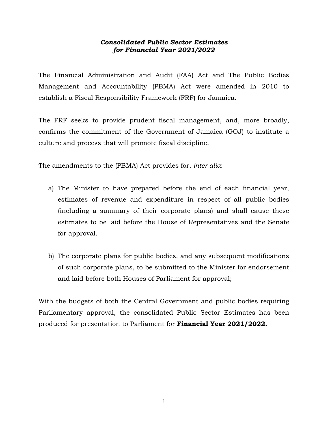### *Consolidated Public Sector Estimates for Financial Year 2021/2022*

The Financial Administration and Audit (FAA) Act and The Public Bodies Management and Accountability (PBMA) Act were amended in 2010 to establish a Fiscal Responsibility Framework (FRF) for Jamaica.

The FRF seeks to provide prudent fiscal management, and, more broadly, confirms the commitment of the Government of Jamaica (GOJ) to institute a culture and process that will promote fiscal discipline.

The amendments to the (PBMA) Act provides for, *inter alia*:

- a) The Minister to have prepared before the end of each financial year, estimates of revenue and expenditure in respect of all public bodies (including a summary of their corporate plans) and shall cause these estimates to be laid before the House of Representatives and the Senate for approval.
- b) The corporate plans for public bodies, and any subsequent modifications of such corporate plans, to be submitted to the Minister for endorsement and laid before both Houses of Parliament for approval;

With the budgets of both the Central Government and public bodies requiring Parliamentary approval, the consolidated Public Sector Estimates has been produced for presentation to Parliament for **Financial Year 2021/2022.**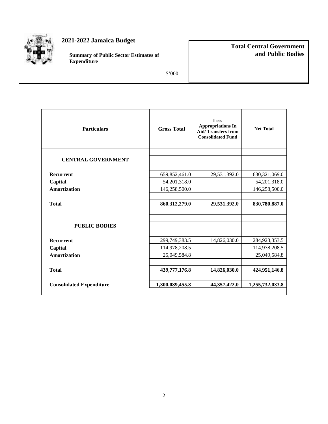

### **2021-2022 Jamaica Budget**

**Summary of Public Sector Estimates of Expenditure**

### **Total Central Government and Public Bodies**

\$'000

| <b>Particulars</b>              | <b>Gross Total</b> | Less<br><b>Appropriations In</b><br><b>Aid/Transfers from</b><br><b>Consolidated Fund</b> | <b>Net Total</b> |  |
|---------------------------------|--------------------|-------------------------------------------------------------------------------------------|------------------|--|
| <b>CENTRAL GOVERNMENT</b>       |                    |                                                                                           |                  |  |
|                                 |                    |                                                                                           |                  |  |
| <b>Recurrent</b>                | 659, 852, 461.0    | 29,531,392.0                                                                              | 630, 321, 069.0  |  |
| Capital                         | 54, 201, 318.0     |                                                                                           | 54, 201, 318.0   |  |
| Amortization                    | 146,258,500.0      |                                                                                           | 146,258,500.0    |  |
|                                 |                    |                                                                                           |                  |  |
| <b>Total</b>                    | 860,312,279.0      | 29,531,392.0                                                                              | 830,780,887.0    |  |
|                                 |                    |                                                                                           |                  |  |
|                                 |                    |                                                                                           |                  |  |
| <b>PUBLIC BODIES</b>            |                    |                                                                                           |                  |  |
|                                 |                    |                                                                                           |                  |  |
| <b>Recurrent</b>                | 299,749,383.5      | 14,826,030.0                                                                              | 284,923,353.5    |  |
| Capital                         | 114,978,208.5      |                                                                                           | 114,978,208.5    |  |
| Amortization                    | 25,049,584.8       |                                                                                           | 25,049,584.8     |  |
|                                 |                    |                                                                                           |                  |  |
| <b>Total</b>                    | 439,777,176.8      | 14,826,030.0                                                                              | 424,951,146.8    |  |
|                                 |                    |                                                                                           |                  |  |
| <b>Consolidated Expenditure</b> | 1,300,089,455.8    | 44, 357, 422.0                                                                            | 1,255,732,033.8  |  |
|                                 |                    |                                                                                           |                  |  |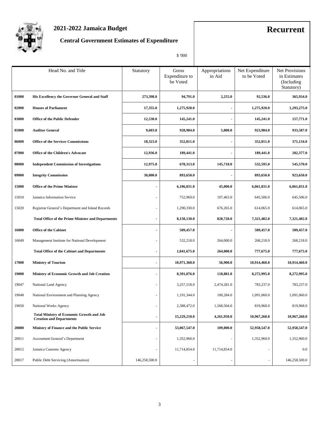

## **2021-2022 Jamaica Budget Recurrent**

## **Central Government Estimates of Expenditure**

| ı |
|---|
|   |

|       | Head No. and Title                                                                  | Statutory                | Gross<br>Expenditure to<br>be Voted | Appropriations<br>in Aid | Net Expenditure<br>to be Voted | <b>Net Provisions</b><br>in Estimates<br>(Including)<br>Statutory) |
|-------|-------------------------------------------------------------------------------------|--------------------------|-------------------------------------|--------------------------|--------------------------------|--------------------------------------------------------------------|
| 01000 | His Excellency the Governor General and Staff                                       | 273,398.0                | 94,791.0                            | 2,255.0                  | 92,536.0                       | 365,934.0                                                          |
| 02000 | <b>Houses of Parliament</b>                                                         | 17,355.0                 | 1,275,920.0                         | ٠                        | 1,275,920.0                    | 1,293,275.0                                                        |
| 03000 | <b>Office of the Public Defender</b>                                                | 12,530.0                 | 145,241.0                           |                          | 145,241.0                      | 157,771.0                                                          |
| 05000 | <b>Auditor General</b>                                                              | 9,603.0                  | 928,984.0                           | 5,000.0                  | 923,984.0                      | 933,587.0                                                          |
| 06000 | <b>Office of the Services Commissions</b>                                           | 18,323.0                 | 352,811.0                           | ٠                        | 352,811.0                      | 371,134.0                                                          |
| 07000 | <b>Office of the Children's Advocate</b>                                            | 12,936.0                 | 189,441.0                           |                          | 189,441.0                      | 202,377.0                                                          |
| 08000 | <b>Independent Commission of Investigations</b>                                     | 12,975.0                 | 678,313.0                           | 145,718.0                | 532,595.0                      | 545,570.0                                                          |
| 09000 | <b>Integrity Commission</b>                                                         | 30,000.0                 | 893,650.0                           | $\overline{\phantom{a}}$ | 893,650.0                      | 923,650.0                                                          |
| 15000 | <b>Office of the Prime Minister</b>                                                 | ٠                        | 6,106,831.0                         | 45,000.0                 | 6,061,831.0                    | 6,061,831.0                                                        |
| 15010 | Jamaica Information Service                                                         |                          | 752,969.0                           | 107,463.0                | 645,506.0                      | 645,506.0                                                          |
| 15020 | Registrar General's Department and Island Records                                   | $\overline{\phantom{a}}$ | 1,290,330.0                         | 676,265.0                | 614,065.0                      | 614,065.0                                                          |
|       | <b>Total Office of the Prime Minister and Departments</b>                           | ä,                       | 8,150,130.0                         | 828,728.0                | 7,321,402.0                    | 7,321,402.0                                                        |
| 16000 | <b>Office of the Cabinet</b>                                                        | $\overline{\phantom{a}}$ | 509,457.0                           | $\blacksquare$           | 509,457.0                      | 509,457.0                                                          |
| 16049 | Management Institute for National Development                                       | $\overline{\phantom{a}}$ | 532,218.0                           | 264,000.0                | 268,218.0                      | 268,218.0                                                          |
|       | <b>Total Office of the Cabinet and Departments</b>                                  | $\overline{\phantom{a}}$ | 1,041,675.0                         | 264,000.0                | 777,675.0                      | 777,675.0                                                          |
| 17000 | <b>Ministry of Tourism</b>                                                          | $\overline{\phantom{a}}$ | 10,971,360.0                        | 56,900.0                 | 10,914,460.0                   | 10,914,460.0                                                       |
| 19000 | Ministry of Economic Growth and Job Creation                                        | $\blacksquare$           | 8,391,876.0                         | 118,881.0                | 8,272,995.0                    | 8,272,995.0                                                        |
| 19047 | National Land Agency                                                                | ÷,                       | 3,257,518.0                         | 2,474,281.0              | 783,237.0                      | 783,237.0                                                          |
| 19048 | National Environment and Planning Agency                                            | ä,                       | 1,191,344.0                         | 100,284.0                | 1,091,060.0                    | 1,091,060.0                                                        |
| 19050 | National Works Agency                                                               | ÷,                       | 2,388,472.0                         | 1,568,504.0              | 819,968.0                      | 819,968.0                                                          |
|       | <b>Total Ministry of Economic Growth and Job</b><br><b>Creation and Departments</b> | $\blacksquare$           | 15,229,210.0                        | 4,261,950.0              | 10,967,260.0                   | 10,967,260.0                                                       |
| 20000 | <b>Ministry of Finance and the Public Service</b>                                   | $\overline{\phantom{a}}$ | 53,067,547.0                        | 109,000.0                | 52,958,547.0                   | 52,958,547.0                                                       |
| 20011 | Accountant General's Department                                                     | $\overline{\phantom{a}}$ | 1,352,960.0                         | $\blacksquare$           | 1,352,960.0                    | 1,352,960.0                                                        |
| 20012 | Jamaica Customs Agency                                                              | ÷,                       | 11,714,854.0                        | 11,714,854.0             |                                | 0.0                                                                |
| 20017 | Public Debt Servicing (Amortisation)                                                | 146,258,500.0            |                                     | ÷,                       |                                | 146,258,500.0                                                      |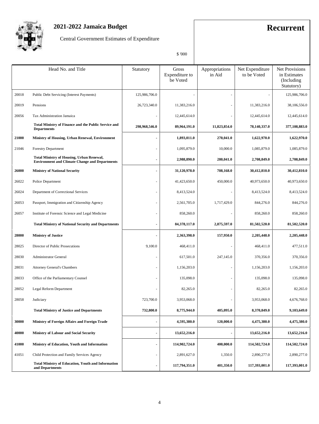

## **2021-2022 Jamaica Budget Recurrent**

Central Government Estimates of Expenditure

|       | Head No. and Title                                                                                        | Statutory                | <b>Gross</b><br>Expenditure to<br>be Voted | Appropriations<br>in Aid | Net Expenditure<br>to be Voted | <b>Net Provisions</b><br>in Estimates<br>(Including)<br>Statutory) |
|-------|-----------------------------------------------------------------------------------------------------------|--------------------------|--------------------------------------------|--------------------------|--------------------------------|--------------------------------------------------------------------|
| 20018 | Public Debt Servicing (Interest Payments)                                                                 | 125,986,706.0            |                                            |                          |                                | 125,986,706.0                                                      |
| 20019 | Pensions                                                                                                  | 26,723,340.0             | 11,383,216.0                               |                          | 11,383,216.0                   | 38,106,556.0                                                       |
| 20056 | Tax Administration Jamaica                                                                                |                          | 12,445,614.0                               |                          | 12,445,614.0                   | 12,445,614.0                                                       |
|       | <b>Total Ministry of Finance and the Public Service and</b><br><b>Departments</b>                         | 298,968,546.0            | 89,964,191.0                               | 11,823,854.0             | 78,140,337.0                   | 377,108,883.0                                                      |
| 21000 | Ministry of Housing, Urban Renewal, Environment                                                           | ٠                        | 1,893,011.0                                | 270,041.0                | 1,622,970.0                    | 1,622,970.0                                                        |
| 21046 | <b>Forestry Department</b>                                                                                | ÷,                       | 1,095,879.0                                | 10,000.0                 | 1,085,879.0                    | 1,085,879.0                                                        |
|       | <b>Total Ministry of Housing, Urban Renewal,</b><br><b>Environment and Climate Change and Departments</b> | ÷                        | 2,988,890.0                                | 280,041.0                | 2,708,849.0                    | 2,708,849.0                                                        |
| 26000 | <b>Ministry of National Security</b>                                                                      | ٠                        | 31,120,978.0                               | 708,168.0                | 30,412,810.0                   | 30,412,810.0                                                       |
| 26022 | Police Department                                                                                         | ٠                        | 41,423,650.0                               | 450,000.0                | 40,973,650.0                   | 40,973,650.0                                                       |
| 26024 | Department of Correctional Services                                                                       | ÷                        | 8,413,524.0                                |                          | 8,413,524.0                    | 8,413,524.0                                                        |
| 26053 | Passport, Immigration and Citizenship Agency                                                              | ٠                        | 2,561,705.0                                | 1,717,429.0              | 844,276.0                      | 844,276.0                                                          |
| 26057 | Institute of Forensic Science and Legal Medicine                                                          | ÷,                       | 858,260.0                                  |                          | 858,260.0                      | 858,260.0                                                          |
|       | <b>Total Ministry of National Security and Departments</b>                                                | ٠                        | 84,378,117.0                               | 2,875,597.0              | 81,502,520.0                   | 81,502,520.0                                                       |
| 28000 | <b>Ministry of Justice</b>                                                                                | ٠                        | 2,363,398.0                                | 157,950.0                | 2,205,448.0                    | 2,205,448.0                                                        |
| 28025 | Director of Public Prosecutions                                                                           | 9,100.0                  | 468,411.0                                  |                          | 468,411.0                      | 477,511.0                                                          |
| 28030 | <b>Administrator General</b>                                                                              | ٠                        | 617,501.0                                  | 247,145.0                | 370,356.0                      | 370,356.0                                                          |
| 28031 | <b>Attorney General's Chambers</b>                                                                        | $\overline{\phantom{m}}$ | 1,156,203.0                                |                          | 1,156,203.0                    | 1,156,203.0                                                        |
| 28033 | Office of the Parliamentary Counsel                                                                       |                          | 135,098.0                                  |                          | 135,098.0                      | 135,098.0                                                          |
| 28052 | Legal Reform Department                                                                                   |                          | 82,265.0                                   |                          | 82,265.0                       | 82,265.0                                                           |
| 28058 | Judiciary                                                                                                 | 723,700.0                | 3,953,068.0                                |                          | 3,953,068.0                    | 4,676,768.0                                                        |
|       | <b>Total Ministry of Justice and Departments</b>                                                          | 732,800.0                | 8,775,944.0                                | 405,095.0                | 8,370,849.0                    | 9,103,649.0                                                        |
| 30000 | Ministry of Foreign Affairs and Foreign Trade                                                             | $\blacksquare$           | 4,595,380.0                                | 120,000.0                | 4,475,380.0                    | 4,475,380.0                                                        |
| 40000 | <b>Ministry of Labour and Social Security</b>                                                             | ٠                        | 13,652,216.0                               | $\overline{\phantom{a}}$ | 13,652,216.0                   | 13,652,216.0                                                       |
| 41000 | Ministry of Education, Youth and Information                                                              | ٠                        | 114,902,724.0                              | 400,000.0                | 114,502,724.0                  | 114,502,724.0                                                      |
| 41051 | Child Protection and Family Services Agency                                                               | ٠                        | 2,891,627.0                                | 1,350.0                  | 2,890,277.0                    | 2,890,277.0                                                        |
|       | <b>Total Ministry of Education, Youth and Information</b><br>and Departments                              | ٠                        | 117,794,351.0                              | 401,350.0                | 117,393,001.0                  | 117,393,001.0                                                      |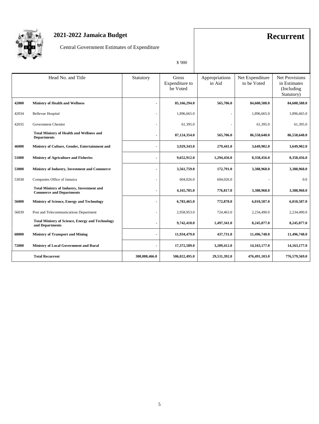

## **2021-2022 Jamaica Budget Recurrent**

Central Government Estimates of Expenditure

\$ '000

|       | Head No. and Title                                                                   | Statutory                | Gross<br>Expenditure to<br>be Voted | Appropriations<br>in Aid | Net Expenditure<br>to be Voted | <b>Net Provisions</b><br>in Estimates<br>(Including)<br>Statutory) |
|-------|--------------------------------------------------------------------------------------|--------------------------|-------------------------------------|--------------------------|--------------------------------|--------------------------------------------------------------------|
| 42000 | <b>Ministry of Health and Wellness</b>                                               | ۰                        | 85,166,294.0                        | 565,706.0                | 84,600,588.0                   | 84,600,588.0                                                       |
| 42034 | <b>Bellevue Hospital</b>                                                             | $\overline{\phantom{a}}$ | 1,896,665.0                         | ÷,                       | 1,896,665.0                    | 1,896,665.0                                                        |
| 42035 | Government Chemist                                                                   | ÷,                       | 61,395.0                            |                          | 61,395.0                       | 61,395.0                                                           |
|       | <b>Total Ministry of Health and Wellness and</b><br><b>Departments</b>               |                          | 87,124,354.0                        | 565,706.0                | 86,558,648.0                   | 86,558,648.0                                                       |
| 46000 | Ministry of Culture, Gender, Entertainment and                                       |                          | 3,929,343.0                         | 279,441.0                | 3,649,902.0                    | 3,649,902.0                                                        |
| 51000 | <b>Ministry of Agriculture and Fisheries</b>                                         | ٠                        | 9,652,912.0                         | 1,294,456.0              | 8,358,456.0                    | 8,358,456.0                                                        |
| 53000 | Ministry of Industry, Investment and Commerce                                        | ٠                        | 3,561,759.0                         | 172,791.0                | 3,388,968.0                    | 3,388,968.0                                                        |
| 53038 | Companies Office of Jamaica                                                          | ä,                       | 604,026.0                           | 604,026.0                |                                | 0.0                                                                |
|       | <b>Total Ministry of Industry, Investment and</b><br><b>Commerce and Departments</b> | ۰                        | 4,165,785.0                         | 776,817.0                | 3,388,968.0                    | 3,388,968.0                                                        |
| 56000 | Ministry of Science, Energy and Technology                                           | ٠                        | 6,783,465.0                         | 772,878.0                | 6,010,587.0                    | 6,010,587.0                                                        |
| 56039 | Post and Telecommunications Department                                               | ä,                       | 2,958,953.0                         | 724,463.0                | 2,234,490.0                    | 2,234,490.0                                                        |
|       | <b>Total Ministry of Science, Energy and Technology</b><br>and Departments           | L                        | 9,742,418.0                         | 1,497,341.0              | 8,245,077.0                    | 8,245,077.0                                                        |
| 68000 | <b>Ministry of Transport and Mining</b>                                              | ٠                        | 11,934,479.0                        | 437,731.0                | 11,496,748.0                   | 11,496,748.0                                                       |
| 72000 | <b>Ministry of Local Government and Rural</b>                                        | ٠                        | 17,372,589.0                        | 3,209,412.0              | 14, 163, 177.0                 | 14, 163, 177.0                                                     |
|       | <b>Total Recurrent</b>                                                               | 300.088.466.0            | 506,022,495.0                       | 29.531.392.0             | 476,491,103.0                  | 776,579,569.0                                                      |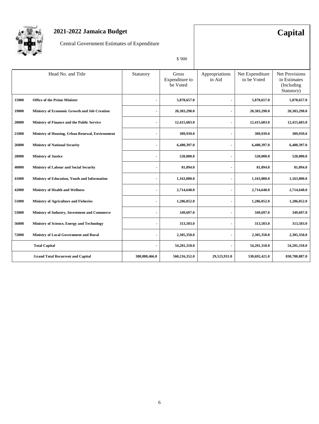

## **2021-2022 Jamaica Budget Capital**

Central Government Estimates of Expenditure

\$ '000

|       | Head No. and Title                              | Statutory      | Gross<br>Expenditure to<br>be Voted | Appropriations<br>in Aid | Net Expenditure<br>to be Voted | <b>Net Provisions</b><br>in Estimates<br>(Including)<br>Statutory) |
|-------|-------------------------------------------------|----------------|-------------------------------------|--------------------------|--------------------------------|--------------------------------------------------------------------|
| 15000 | <b>Office of the Prime Minister</b>             | ٠              | 5,878,657.0                         | ٠                        | 5,878,657.0                    | 5,878,657.0                                                        |
| 19000 | Ministry of Economic Growth and Job Creation    | $\blacksquare$ | 20,383,298.0                        | ٠                        | 20,383,298.0                   | 20,383,298.0                                                       |
| 20000 | Ministry of Finance and the Public Service      | ٠              | 12,415,683.0                        | $\blacksquare$           | 12,415,683.0                   | 12,415,683.0                                                       |
| 21000 | Ministry of Housing, Urban Renewal, Environment | ٠              | 309,939.0                           | $\blacksquare$           | 309,939.0                      | 309,939.0                                                          |
| 26000 | <b>Ministry of National Security</b>            | ä,             | 6,480,397.0                         | ۰                        | 6,480,397.0                    | 6,480,397.0                                                        |
| 28000 | <b>Ministry of Justice</b>                      | ٠              | 520,000.0                           | ٠                        | 520,000.0                      | 520,000.0                                                          |
| 40000 | <b>Ministry of Labour and Social Security</b>   | ٠              | 81,094.0                            | $\blacksquare$           | 81,094.0                       | 81,094.0                                                           |
| 41000 | Ministry of Education, Youth and Information    | ٠              | 1,163,000.0                         |                          | 1,163,000.0                    | 1,163,000.0                                                        |
| 42000 | <b>Ministry of Health and Wellness</b>          | $\blacksquare$ | 2,714,648.0                         |                          | 2,714,648.0                    | 2,714,648.0                                                        |
| 51000 | <b>Ministry of Agriculture and Fisheries</b>    | ٠              | 1,286,052.0                         | ٠                        | 1,286,052.0                    | 1,286,052.0                                                        |
| 53000 | Ministry of Industry, Investment and Commerce   | $\blacksquare$ | 349,697.0                           | $\overline{a}$           | 349,697.0                      | 349,697.0                                                          |
| 56000 | Ministry of Science, Energy and Technology      | ٠              | 313,503.0                           |                          | 313,503.0                      | 313,503.0                                                          |
| 72000 | Ministry of Local Government and Rural          | ٠              | 2,305,350.0                         | ۰                        | 2,305,350.0                    | 2,305,350.0                                                        |
|       | <b>Total Capital</b>                            | ٠              | 54,201,318.0                        | ۰                        | 54,201,318.0                   | 54,201,318.0                                                       |
|       | <b>Grand Total Recurrent and Capital</b>        | 300,088,466.0  | 560,216,352.0                       | 29,523,931.0             | 530,692,421.0                  | 830,780,887.0                                                      |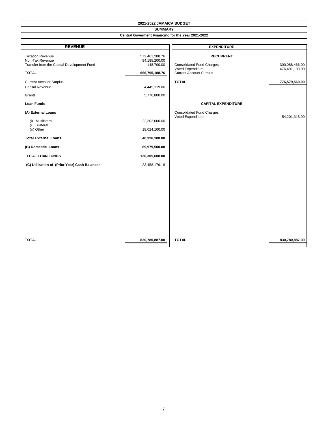| 2021-2022 JAMAICA BUDGET                                                                                                                                                                                 |                                                                                                     |                                                                                                                             |                                                    |  |  |  |  |  |
|----------------------------------------------------------------------------------------------------------------------------------------------------------------------------------------------------------|-----------------------------------------------------------------------------------------------------|-----------------------------------------------------------------------------------------------------------------------------|----------------------------------------------------|--|--|--|--|--|
|                                                                                                                                                                                                          | <b>SUMMARY</b>                                                                                      |                                                                                                                             |                                                    |  |  |  |  |  |
|                                                                                                                                                                                                          | Central Goverment Financing for the Year 2021-2022                                                  |                                                                                                                             |                                                    |  |  |  |  |  |
|                                                                                                                                                                                                          |                                                                                                     |                                                                                                                             |                                                    |  |  |  |  |  |
| <b>REVENUE</b>                                                                                                                                                                                           |                                                                                                     | <b>EXPENDITURE</b>                                                                                                          |                                                    |  |  |  |  |  |
| <b>Taxation Revenue</b><br>Non-Tax Revenue<br>Transfer from the Capital Development Fund<br><b>TOTAL</b><br><b>Current Account Surplus</b><br>Capital Revenue<br>Grants                                  | 572,461,288.76<br>94,185,200.00<br>148,700.00<br>666,795,188.76<br>4,445,119.06<br>5,776,800.00     | <b>RECURRENT</b><br><b>Consolidated Fund Charges</b><br>Voted Expenditure<br><b>Current Account Surplus</b><br><b>TOTAL</b> | 300,088,466.00<br>476,491,103.00<br>776,579,569.00 |  |  |  |  |  |
| <b>Loan Funds</b>                                                                                                                                                                                        |                                                                                                     | <b>CAPITAL EXPENDITURE</b>                                                                                                  |                                                    |  |  |  |  |  |
| (A) External Loans<br>(i) Multilateral<br>(ii) Bilateral<br>(iii) Other<br><b>Total External Loans</b><br>(B) Domestic Loans<br><b>TOTAL LOAN FUNDS</b><br>(C) Utilization of (Prior Year) Cash Balances | 22,302,000.00<br>18,024,100.00<br>40,326,100.00<br>89,979,500.00<br>130,305,600.00<br>23,458,179.18 | <b>Consolidated Fund Charges</b><br>Voted Expenditure                                                                       | 54,201,318.00                                      |  |  |  |  |  |
| <b>TOTAL</b>                                                                                                                                                                                             | 830,780,887.00                                                                                      | <b>TOTAL</b>                                                                                                                | 830,780,887.00                                     |  |  |  |  |  |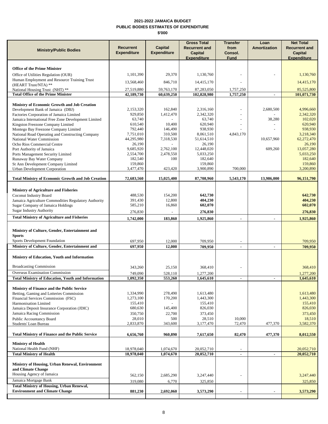### **2021-2022 JAMAICA BUDGET PUBLIC BODIES ESTIMATES OF EXPENDITURE \$'000**

| <b>Ministry/Public Bodies</b>                                                            | <b>Recurrent</b><br><b>Expenditure</b> | <b>Capital</b><br><b>Expenditure</b> | <b>Gross Total</b><br><b>Recurrent and</b><br>Capital<br><b>Expenditure</b> | <b>Transfer</b><br>from<br>Consol.<br><b>Fund</b> | Loan<br>Amortization | <b>Net Total</b><br><b>Recurrent and</b><br>Capital<br><b>Expenditure</b> |
|------------------------------------------------------------------------------------------|----------------------------------------|--------------------------------------|-----------------------------------------------------------------------------|---------------------------------------------------|----------------------|---------------------------------------------------------------------------|
|                                                                                          |                                        |                                      |                                                                             |                                                   |                      |                                                                           |
| <b>Office of the Prime Minister</b><br>Office of Utilities Regulation (OUR)              | 1,101,390                              | 29,370                               | 1,130,760                                                                   |                                                   |                      | 1,130,760                                                                 |
| Human Employment and Resource Training Trust                                             |                                        |                                      |                                                                             |                                                   |                      |                                                                           |
| (HEART Trust/NTA) **                                                                     | 13,568,460                             | 846,710                              | 14,415,170                                                                  |                                                   |                      | 14,415,170                                                                |
| National Housing Trust (NHT) **<br><b>Total Office of the Prime Minister</b>             | 27,519,880<br>42,189,730               | 59,763,170<br>60,639,250             | 87,283,050<br>102,828,980                                                   | 1,757,250<br>1,757,250                            | $\blacksquare$       | 85,525,800<br>101,071,730                                                 |
|                                                                                          |                                        |                                      |                                                                             |                                                   |                      |                                                                           |
| Ministry of Economic Growth and Job Creation                                             | 2,153,320                              | 162,840                              |                                                                             |                                                   | 2,680,500            | 4,996,660                                                                 |
| Development Bank of Jamaica (DBJ)<br>Factories Corporation of Jamaica Limited            | 929,850                                | 1,412,470                            | 2,316,160<br>2,342,320                                                      |                                                   |                      | 2,342,320                                                                 |
| Jamaica International Free Zone Development Limited                                      | 63,740                                 |                                      | 63,740                                                                      |                                                   | 38,280               | 102,020                                                                   |
| Kingston Freezone Company Limited                                                        | 610,540                                | 10,400                               | 620,940                                                                     |                                                   |                      | 620,940                                                                   |
| Montego Bay Freezone Company Limited<br>National Road Operating and Constructing Company | 792,440<br>7,751,010                   | 146,490<br>310,500                   | 938,930<br>8,061,510                                                        | 4,843,170                                         |                      | 938,930<br>3,218,340                                                      |
| National Water Commission                                                                | 44,295,980                             | 7,318,530                            | 51,614,510                                                                  |                                                   | 10,657,960           | 62,272,470                                                                |
| Ocho Rios Commercial Centre                                                              | 26,190                                 |                                      | 26,190                                                                      |                                                   |                      | 26,190                                                                    |
| Port Authority of Jamaica<br>Ports Management Security Limited                           | 9,685,920<br>2,554,700                 | 2,762,100<br>2,478,550               | 12,448,020<br>5,033,250                                                     |                                                   | 609,260              | 13,057,280<br>5,033,250                                                   |
| Runaway Bay Water Company                                                                | 182,540                                | 100                                  | 182,640                                                                     |                                                   |                      | 182,640                                                                   |
| St Ann Development Company Limited                                                       | 159,860                                |                                      | 159,860                                                                     |                                                   |                      | 159,860                                                                   |
| Urban Development Corporation                                                            | 3,477,470                              | 423,420                              | 3,900,890                                                                   | 700,000                                           |                      | 3,200,890                                                                 |
| <b>Total Ministry of Economic Growth and Job Creation</b>                                | 72,683,560                             | 15,025,400                           | 87,708,960                                                                  | 5,543,170                                         | 13,986,000           | 96,151,790                                                                |
|                                                                                          |                                        |                                      |                                                                             |                                                   |                      |                                                                           |
| <b>Ministry of Agriculture and Fisheries</b>                                             |                                        |                                      |                                                                             |                                                   |                      |                                                                           |
| Coconut Industry Board<br>Jamaica Agriculture Commodities Regulatory Authority           | 488,530<br>391,430                     | 154,200<br>12,800                    | 642,730<br>404,230                                                          |                                                   |                      | 642,730<br>404,230                                                        |
| Sugar Company of Jamaica Holdings                                                        | 585,210                                | 16,860                               | 602,070                                                                     |                                                   |                      | 602,070                                                                   |
| <b>Sugar Industry Authority</b>                                                          | 276,830                                |                                      | 276,830                                                                     |                                                   |                      | 276,830                                                                   |
| <b>Total Ministry of Agriculture and Fisheries</b>                                       | 1,742,000                              | 183,860                              | 1,925,860                                                                   | $\overline{\phantom{a}}$                          |                      | 1,925,860                                                                 |
| Ministry of Culture, Gender, Entertainment and<br><b>Sports</b>                          |                                        |                                      |                                                                             |                                                   |                      |                                                                           |
| Sports Development Foundation                                                            | 697,950                                | 12,000                               | 709,950                                                                     |                                                   |                      | 709,950                                                                   |
| Ministry of Culture, Gender, Entertainment and                                           | 697,950                                | 12,000                               | 709,950                                                                     | $\blacksquare$                                    | ×,                   | 709,950                                                                   |
| Ministry of Education, Youth and Information                                             |                                        |                                      |                                                                             |                                                   |                      |                                                                           |
| <b>Broadcasting Commission</b>                                                           | 343,260                                | 25,150                               | 368,410                                                                     |                                                   |                      | 368,410                                                                   |
| Overseas Examination Commission                                                          | 749,090                                | 528.110                              | 1,277,200                                                                   |                                                   |                      | 1,277,200                                                                 |
| <b>Total Ministry of Education, Youth and Information</b>                                | 1,092,350                              | 553,260                              | 1,645,610                                                                   |                                                   |                      | 1,645,610                                                                 |
| Ministry of Finance and the Public Service                                               |                                        |                                      |                                                                             |                                                   |                      |                                                                           |
| Betting, Gaming and Lotteries Commission                                                 | 1,334,990                              | 278,490                              | 1,613,480                                                                   |                                                   |                      | 1,613,480                                                                 |
| Financial Services Commission (FSC)<br>Harmonisation Limited                             | 1,273,100<br>155,410                   | 170,200                              | 1,443,300<br>155,410                                                        |                                                   |                      | 1,443,300<br>155,410                                                      |
| Jamaica Deposit Insurance Corporation (JDIC)                                             | 680,630                                | 145,400                              | 826,030                                                                     |                                                   |                      | 826,030                                                                   |
| Jamaica Racing Commission                                                                | 350,750                                | 22,700                               | 373,450                                                                     |                                                   |                      | 373,450                                                                   |
| <b>Public Accountancy Board</b>                                                          | 28,010                                 | 500                                  | 28,510                                                                      | 10,000                                            |                      | 18,510                                                                    |
| Students' Loan Bureau                                                                    | 2,833,870                              | 343,600                              | 3,177,470                                                                   | 72,470                                            | 477,370              | 3,582,370                                                                 |
| <b>Total Ministry of Finance and the Public Service</b>                                  | 6,656,760                              | 960,890                              | 7,617,650                                                                   | 82,470                                            | 477,370              | 8,012,550                                                                 |
| <b>Ministry of Health</b>                                                                |                                        |                                      |                                                                             |                                                   |                      |                                                                           |
| National Health Fund (NHF)<br><b>Total Ministry of Health</b>                            | 18,978,040<br>18,978,040               | 1,074,670<br>1,074,670               | 20,052,710<br>20,052,710                                                    | $\overline{\phantom{a}}$<br>$\overline{a}$        | ä,                   | 20,052,710<br>20,052,710                                                  |
| Ministry of Housing, Urban Renewal, Environment                                          |                                        |                                      |                                                                             |                                                   |                      |                                                                           |
| and Climate Change<br>Housing Agency of Jamaica                                          |                                        |                                      |                                                                             |                                                   |                      |                                                                           |
| Jamaica Mortgage Bank                                                                    | 562,150<br>319,080                     | 2,685,290<br>6,770                   | 3,247,440<br>325,850                                                        |                                                   |                      | 3,247,440<br>325,850                                                      |
| <b>Total Ministry of Housing, Urban Renewal,</b>                                         |                                        |                                      |                                                                             |                                                   |                      |                                                                           |
| <b>Environment and Climate Change</b>                                                    | 881,230                                | 2,692,060                            | 3,573,290                                                                   | ٠                                                 |                      | 3,573,290                                                                 |
|                                                                                          |                                        |                                      |                                                                             |                                                   |                      |                                                                           |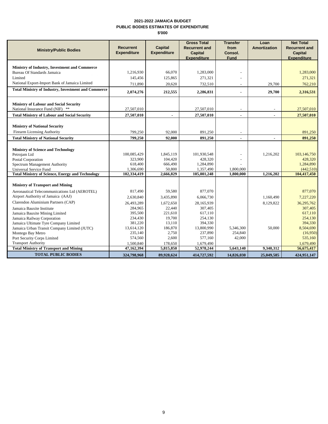### **2021-2022 JAMAICA BUDGET PUBLIC BODIES ESTIMATES OF EXPENDITURE \$'000**

| <b>Ministry/Public Bodies</b>                                                     | <b>Recurrent</b><br><b>Expenditure</b> | <b>Capital</b><br><b>Expenditure</b> | <b>Gross Total</b><br><b>Recurrent and</b><br><b>Capital</b><br><b>Expenditure</b> | <b>Transfer</b><br>from<br>Consol.<br><b>Fund</b> | Loan<br><b>Amortization</b> | <b>Net Total</b><br><b>Recurrent and</b><br><b>Capital</b><br><b>Expenditure</b> |
|-----------------------------------------------------------------------------------|----------------------------------------|--------------------------------------|------------------------------------------------------------------------------------|---------------------------------------------------|-----------------------------|----------------------------------------------------------------------------------|
| Ministry of Industry, Investment and Commerce                                     |                                        |                                      |                                                                                    |                                                   |                             |                                                                                  |
| Bureau Of Standards Jamaica                                                       | 1,216,930                              | 66.070                               | 1.283.000                                                                          |                                                   |                             | 1.283,000                                                                        |
| Limited                                                                           | 145,456                                | 125,865                              | 271,321                                                                            |                                                   |                             | 271,321                                                                          |
| National Export-Import Bank of Jamaica Limited                                    | 711,890                                | 20.620                               | 732,510                                                                            |                                                   | 29,700                      | 762,210                                                                          |
| <b>Total Ministry of Industry, Investment and Commerce</b>                        | 2,074,276                              | 212,555                              | 2,286,831                                                                          | $\blacksquare$                                    | 29,700                      | 2,316,531                                                                        |
| <b>Ministry of Labour and Social Security</b>                                     |                                        |                                      |                                                                                    |                                                   |                             |                                                                                  |
| National Insurance Fund (NIF) **                                                  | 27,507,010                             |                                      | 27,507,010                                                                         | $\overline{\phantom{a}}$                          | ٠                           | 27,507,010                                                                       |
| <b>Total Ministry of Labour and Social Security</b>                               | 27,507,010                             |                                      | 27,507,010                                                                         |                                                   |                             | 27,507,010                                                                       |
|                                                                                   |                                        |                                      |                                                                                    |                                                   |                             |                                                                                  |
| <b>Ministry of National Security</b>                                              |                                        |                                      |                                                                                    |                                                   |                             |                                                                                  |
| <b>Firearm Licensing Authority</b>                                                | 799,250                                | 92,000                               | 891,250                                                                            |                                                   |                             | 891,250                                                                          |
| <b>Total Ministry of National Security</b>                                        | 799,250                                | 92,000                               | 891,250                                                                            |                                                   | $\overline{\phantom{a}}$    | 891,250                                                                          |
| <b>Ministry of Science and Technology</b>                                         |                                        |                                      |                                                                                    |                                                   |                             |                                                                                  |
| Petrojam Ltd                                                                      | 100,085,429                            | 1,845,119                            | 101,930,548                                                                        |                                                   | 1,216,202                   | 103,146,750                                                                      |
| Postal Corporation                                                                | 323,900                                | 104,420                              | 428,320                                                                            |                                                   |                             | 428,320                                                                          |
| Spectrum Management Authority                                                     | 618,400<br>1,306,690                   | 666,490                              | 1,284,890<br>1,357,490                                                             |                                                   |                             | 1,284,890<br>(442, 510)                                                          |
| Universal Service Fund<br><b>Total Ministry of Science, Energy and Technology</b> | 102,334,419                            | 50,800<br>2,666,829                  | 105,001,248                                                                        | 1,800,000<br>1,800,000                            | 1,216,202                   | 104,417,450                                                                      |
|                                                                                   |                                        |                                      |                                                                                    |                                                   |                             |                                                                                  |
| <b>Ministry of Transport and Mining</b>                                           |                                        |                                      |                                                                                    |                                                   |                             |                                                                                  |
| Aeronautical Telecommunications Ltd (AEROTEL)                                     | 817,490                                | 59.580                               | 877,070                                                                            |                                                   |                             | 877,070                                                                          |
| Airport Authority of Jamaica (AAJ)                                                | 2,630,840                              | 3,435,890                            | 6,066,730                                                                          |                                                   | 1,160,490                   | 7,227,220                                                                        |
| Clarendon Aluminium Partners (CAP)                                                | 26,493,289                             | 1,672,650                            | 28,165,939                                                                         |                                                   | 8,129,822                   | 36,295,762                                                                       |
| Jamaica Bauxite Institute                                                         | 284,965                                | 22,440                               | 307,405                                                                            |                                                   |                             | 307,405                                                                          |
| Jamaica Bauxite Mining Limited                                                    | 395,500                                | 221.610                              | 617.110                                                                            |                                                   |                             | 617.110                                                                          |
| Jamaica Railway Corporation                                                       | 234,430                                | 19,700                               | 254,130                                                                            |                                                   |                             | 254,130                                                                          |
| Jamaica Ultimate Tyre Company Limited                                             | 381,220                                | 13,110                               | 394,330                                                                            |                                                   |                             | 394,330                                                                          |
| Jamaica Urban Transit Company Limited (JUTC)                                      | 13,614,120                             | 186,870                              | 13,800,990                                                                         | 5,346,300                                         | 50,000                      | 8,504,690                                                                        |
| Montego Bay Metro<br>Port Security Corps Limited                                  | 235,140<br>574,560                     | 2,750<br>2,600                       | 237,890<br>577,160                                                                 | 254,840<br>42,000                                 |                             | (16,950)<br>535,160                                                              |
| <b>Transport Authority</b>                                                        | 1,500,840                              | 178,650                              | 1,679,490                                                                          |                                                   |                             | 1,679,490                                                                        |
| <b>Total Ministry of Transport and Mining</b>                                     | 47,162,394                             | 5,815,850                            | 52,978,244                                                                         | 5,643,140                                         | 9,340,312                   | 56,675,417                                                                       |
| <b>TOTAL PUBLIC BODIES</b>                                                        | 324,798,968                            | 89,928,624                           | 414,727,592                                                                        | 14,826,030                                        | 25,049,585                  | 424,951,147                                                                      |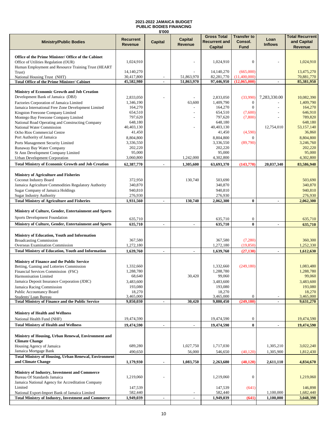### **2021-2022 JAMAICA BUDGET PUBLIC BODIES FINANCING \$'000**

| <b>Ministry/Public Bodies</b>                                                                    | Recurrent<br><b>Revenue</b> | <b>Capital</b>           | <b>Capital</b><br>Revenue | <b>Gross Total</b><br><b>Recurrent and</b><br><b>Capital</b> | <b>Transfer to</b><br>Consol.<br><b>Fund</b> | Loan<br><b>Inflows</b> | <b>Total Recurrent</b><br>and Capital<br>Revenue |
|--------------------------------------------------------------------------------------------------|-----------------------------|--------------------------|---------------------------|--------------------------------------------------------------|----------------------------------------------|------------------------|--------------------------------------------------|
|                                                                                                  |                             |                          |                           |                                                              |                                              |                        |                                                  |
| Office of the Prime Minister/ Office of the Cabinet<br>Office of Utilities Regulation (OUR)      | 1,024,910                   |                          |                           | 1,024,910                                                    | $\mathbf{0}$                                 |                        | 1,024,910                                        |
| Human Employment and Resource Training Trust (HEART                                              |                             |                          |                           |                                                              |                                              |                        |                                                  |
| Trust)<br>National Housing Trust (NHT)                                                           | 14,140,270<br>30,417,800    |                          | 51,863,970                | 14,140,270<br>82,281,770                                     | (665,000)<br>(11,400,000)                    |                        | 13,475,270<br>70,881,770                         |
| <b>Total Office of the Prime Minister/ Cabinet</b>                                               | 45,582,980                  | $\overline{\phantom{a}}$ | 51,863,970                | 97,446,950                                                   | (12,065,000)                                 | ٠                      | 85,381,950                                       |
|                                                                                                  |                             |                          |                           |                                                              |                                              |                        |                                                  |
| Ministry of Economic Growth and Job Creation<br>Development Bank of Jamaica (DBJ)                | 2,833,050                   |                          |                           | 2,833,050                                                    | (33,990)                                     | 7,283,330.00           | 10,082,390                                       |
| Factories Corporation of Jamaica Limited                                                         | 1,346,190                   |                          | 63,600                    | 1,409,790                                                    | $\boldsymbol{0}$                             |                        | 1,409,790                                        |
| Jamaica International Free Zone Development Limited                                              | 164,270                     |                          |                           | 164,270                                                      | $\mathbf{0}$                                 |                        | 164,270                                          |
| Kingston Freezone Company Limited<br>Montego Bay Freezone Company Limited                        | 654,510<br>797,620          |                          |                           | 654,510<br>797,620                                           | (7,600)<br>(7,800)                           |                        | 646,910<br>789,820                               |
| National Road Operating and Constructing Company                                                 | 648,180                     |                          |                           | 648,180                                                      |                                              |                        | 648,180                                          |
| National Water Commission                                                                        | 40,403,130                  |                          |                           | 40,403,130                                                   |                                              | 12,754,010             | 53,157,140                                       |
| Ocho Rios Commercial Centre                                                                      | 41,450                      |                          |                           | 41,450                                                       | (4,590)                                      |                        | 36,860                                           |
| Port Authority of Jamaica<br>Ports Management Security Limited                                   | 8,804,800<br>3,336,550      |                          |                           | 8.804.800<br>3,336,550                                       | $\Omega$<br>(89,790)                         |                        | 8,804,800<br>3,246,760                           |
| Runaway Bay Water Company                                                                        | 202,220                     |                          |                           | 202,220                                                      |                                              |                        | 202,220                                          |
| St Ann Development Company Limited                                                               | 95,000                      |                          |                           | 95,000                                                       |                                              |                        | 95,000                                           |
| Urban Development Corporation<br><b>Total Ministry of Economic Growth and Job Creation</b>       | 3,060,800<br>62,387,770     | $\blacksquare$           | 1,242,000<br>1,305,600    | 4,302,800<br>63,693,370                                      | (143,770)                                    | 20,037,340             | 4,302,800<br>83,586,940                          |
|                                                                                                  |                             |                          |                           |                                                              |                                              |                        |                                                  |
| Ministry of Agriculture and Fisheries                                                            |                             |                          |                           |                                                              |                                              |                        |                                                  |
| Coconut Industry Board                                                                           | 372,950                     |                          | 130,740                   | 503,690                                                      |                                              |                        | 503,690                                          |
| Jamaica Agriculture Commodities Regulatory Authority<br><b>Sugar Company of Jamaica Holdings</b> | 340,870<br>940,810          |                          |                           | 340,870<br>940,810                                           |                                              |                        | 340,870<br>940,810                               |
| <b>Sugar Industry Authority</b>                                                                  | 276,930                     |                          |                           | 276,930                                                      |                                              |                        | 276,930                                          |
| <b>Total Ministry of Agriculture and Fisheries</b>                                               | 1,931,560                   | $\blacksquare$           | 130,740                   | 2,062,300                                                    | $\bf{0}$                                     | ٠                      | 2,062,300                                        |
| Ministry of Culture, Gender, Entertainment and Sports                                            |                             |                          |                           |                                                              |                                              |                        |                                                  |
| Sports Development Foundation                                                                    | 635,710                     |                          |                           | 635,710                                                      | $\boldsymbol{0}$                             |                        | 635,710                                          |
| Ministry of Culture, Gender, Entertainment and Sports                                            | 635,710                     | $\blacksquare$           | $\blacksquare$            | 635,710                                                      | $\bf{0}$                                     | ٠                      | 635,710                                          |
|                                                                                                  |                             |                          |                           |                                                              |                                              |                        |                                                  |
| Ministry of Education, Youth and Information                                                     |                             |                          |                           |                                                              |                                              |                        |                                                  |
| <b>Broadcasting Commission</b><br>Overseas Examination Commission                                | 367,580<br>1,272,180        |                          |                           | 367,580<br>1,272,180                                         | (7,280)<br>(19, 850)                         |                        | 360,300<br>1,252,330                             |
| <b>Total Ministry of Education, Youth and Information</b>                                        | 1,639,760                   | $\blacksquare$           |                           | 1,639,760                                                    | (27, 130)                                    |                        | 1,612,630                                        |
|                                                                                                  |                             |                          |                           |                                                              |                                              |                        |                                                  |
| <b>Ministry of Finance and the Public Service</b><br>Betting, Gaming and Lotteries Commission    | 1,332,660                   |                          |                           | 1,332,660                                                    | (249, 180)                                   |                        | 1,083,480                                        |
| Financial Services Commission (FSC)                                                              | 1,288,780                   |                          |                           | 1,288,780                                                    |                                              |                        | 1,288,780                                        |
| Harmonisation Limited                                                                            | 68,640                      |                          | 30,420                    | 99,060                                                       |                                              |                        | 99,060                                           |
| Jamaica Deposit Insurance Corporation (JDIC)                                                     | 3,483,600                   |                          |                           | 3,483,600                                                    |                                              |                        | 3,483,600                                        |
| Jamaica Racing Commission<br><b>Public Accountancy Board</b>                                     | 193,080<br>18,270           |                          |                           | 193,080<br>18,270                                            |                                              |                        | 193,080<br>18,270                                |
| Students' Loan Bureau                                                                            | 3,465,000                   |                          |                           | 3,465,000                                                    | $\boldsymbol{0}$                             |                        | 3,465,000                                        |
| <b>Total Ministry of Finance and the Public Service</b>                                          | 9,850,030                   | $\blacksquare$           | 30,420                    | 9,880,450                                                    | (249, 180)                                   | ٠                      | 9,631,270                                        |
| <b>Ministry of Health and Wellness</b>                                                           |                             |                          |                           |                                                              |                                              |                        |                                                  |
| National Health Fund (NHF)                                                                       | 19,474,590                  |                          |                           | 19,474,590                                                   | $\boldsymbol{0}$                             |                        | 19,474,590                                       |
| <b>Total Ministry of Health and Wellness</b>                                                     | 19,474,590                  | ٠                        |                           | 19,474,590                                                   | $\bf{0}$                                     |                        | 19,474,590                                       |
|                                                                                                  |                             |                          |                           |                                                              |                                              |                        |                                                  |
| Ministry of Housing, Urban Renewal, Environment and<br><b>Climate Change</b>                     |                             |                          |                           |                                                              |                                              |                        |                                                  |
| Housing Agency of Jamaica                                                                        | 689,280                     |                          | 1,027,750                 | 1,717,030                                                    |                                              | 1,305,210              | 3,022,240                                        |
| Jamaica Mortgage Bank                                                                            | 490,650                     |                          | 56,000                    | 546,650                                                      | (40, 120)                                    | 1,305,900              | 1,812,430                                        |
| <b>Total Ministry of Housing, Urban Renewal, Environment</b><br>and Climate Change               | 1,179,930                   |                          |                           |                                                              |                                              |                        | 4,834,670                                        |
|                                                                                                  |                             | $\blacksquare$           | 1,083,750                 | 2,263,680                                                    | (40, 120)                                    | 2,611,110              |                                                  |
| Ministry of Industry, Investment and Commerce                                                    |                             |                          |                           |                                                              |                                              |                        |                                                  |
| Bureau Of Standards Jamaica<br>Jamaica National Agency for Accreditation Company                 | 1,219,060                   |                          |                           | 1,219,060                                                    | $\boldsymbol{0}$                             |                        | 1,219,060                                        |
| Limited                                                                                          | 147,539                     |                          |                           | 147,539                                                      | (641)                                        |                        | 146,898                                          |
| National Export-Import Bank of Jamaica Limited                                                   | 582,440                     |                          | $\overline{\phantom{a}}$  | 582,440                                                      |                                              | 1,100,000              | 1,682,440                                        |
| <b>Total Ministry of Industry, Investment and Commerce</b>                                       | 1,949,039                   | $\sim$                   | $\blacksquare$            | 1,949,039                                                    | (641)                                        | 1,100,000              | 3,048,398                                        |